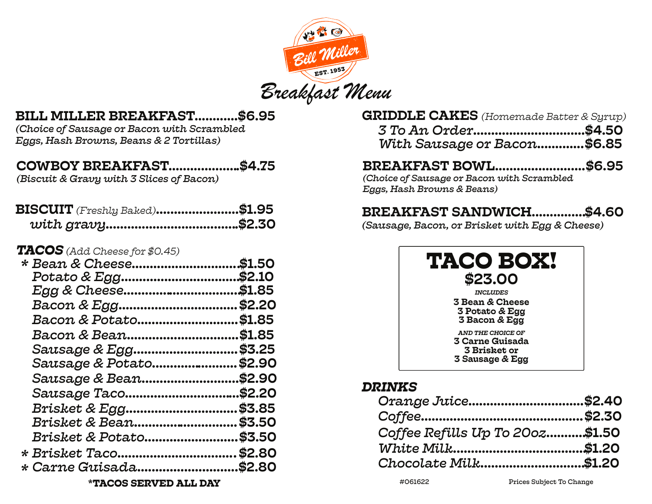

# BILL MILLER BREAKFAST............\$6.95

*(Choice of Sausage or Bacon with Scrambled Eggs, Hash Browns, Beans & 2 Tortillas)*

# COWBOY BREAKFAST....................\$4.75

*(Biscuit & Gravy with 3 Slices of Bacon)*

| $\mathbf{BISCUIT}$ (Freshly Baked) | \$1.95 |
|------------------------------------|--------|
| $TACOS$ (Add Cheese for $$0.45)$   |        |
| * Bean & Cheese                    | \$1.50 |
|                                    |        |
|                                    |        |
|                                    |        |
| Bacon & Potato                     | \$1.85 |
| Bacon & Bean                       | \$1.85 |
| Sausage & Egg                      | \$3.25 |
| Sausage & Potato                   | \$2.90 |
| Sausage & Bean                     | \$2.90 |
| Sausage Taco\$2.20                 |        |
| Brisket & Egg                      | \$3.85 |
| <i>Brisket &amp; Bean</i> \$3.50   |        |
| <i>Brisket &amp; Potato</i> \$3.50 |        |
|                                    |        |
| * Carne Guisada                    | \$2.80 |
|                                    |        |

GRIDDLE CAKES *(Homemade Batter & Syrup)*

| With Sausage or Bacon\$6.85 |  |
|-----------------------------|--|

# BREAKFAST BOWL.........................\$6.95

*(Choice of Sausage or Bacon with Scrambled Eggs, Hash Browns & Beans)*

# BREAKFAST SANDWICH...............\$4.60

*(Sausage, Bacon, or Brisket with Egg & Cheese)*

| TACO BOX!<br>\$23.00                                                                  |
|---------------------------------------------------------------------------------------|
| <b>INCLUDES</b>                                                                       |
| <b>3 Bean &amp; Cheese</b>                                                            |
| 3 Potato & Egg                                                                        |
| <b>3 Bacon &amp; Egg</b>                                                              |
| AND THE CHOICE OF<br><b>3 Carne Guisada</b><br><b>3 Brisket or</b><br>3 Sausage & Egg |

# *DRINKS*

| Orange Juice\$2.40              |  |
|---------------------------------|--|
|                                 |  |
| Coffee Refills Up To 200z\$1.50 |  |
|                                 |  |
| Chocolate Milk\$1.20            |  |